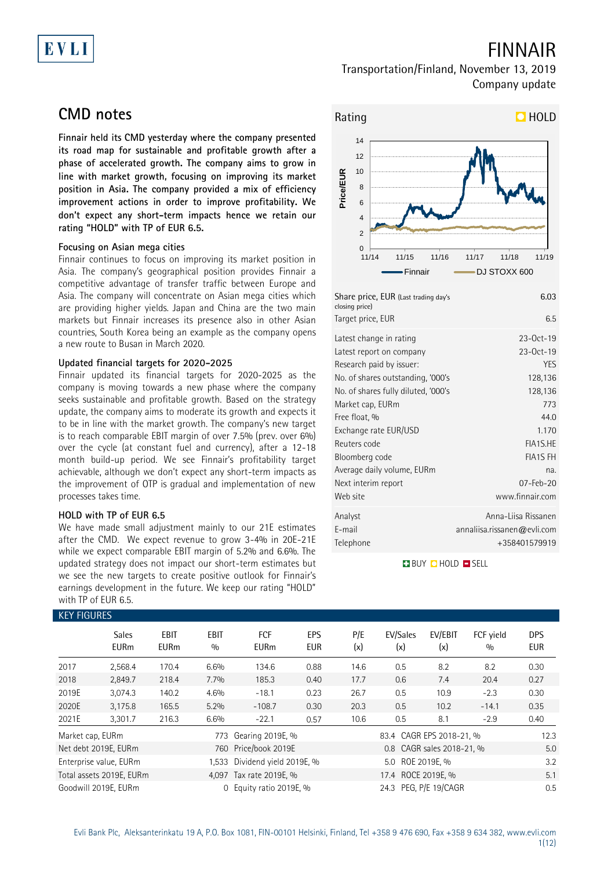# EVLI

# FINNAIR

### Transportation/Finland, November 13, 2019 Company update

## **CMD notes**

**Finnair held its CMD yesterday where the company presented its road map for sustainable and profitable growth after a phase of accelerated growth. The company aims to grow in line with market growth, focusing on improving its market position in Asia. The company provided a mix of efficiency improvement actions in order to improve profitability. We don't expect any short-term impacts hence we retain our rating "HOLD" with TP of EUR 6.5.**

### **Focusing on Asian mega cities**

Finnair continues to focus on improving its market position in Asia. The company's geographical position provides Finnair a competitive advantage of transfer traffic between Europe and Asia. The company will concentrate on Asian mega cities which are providing higher yields. Japan and China are the two main markets but Finnair increases its presence also in other Asian countries, South Korea being an example as the company opens a new route to Busan in March 2020.

### **Updated financial targets for 2020-2025**

Finnair updated its financial targets for 2020-2025 as the company is moving towards a new phase where the company seeks sustainable and profitable growth. Based on the strategy update, the company aims to moderate its growth and expects it to be in line with the market growth. The company's new target is to reach comparable EBIT margin of over 7.5% (prev. over 6%) over the cycle (at constant fuel and currency), after a 12-18 month build-up period. We see Finnair's profitability target achievable, although we don't expect any short-term impacts as the improvement of OTP is gradual and implementation of new processes takes time.

### **HOLD with TP of EUR 6.5**

We have made small adjustment mainly to our 21E estimates after the CMD. We expect revenue to grow 3-4% in 20E-21E while we expect comparable EBIT margin of 5.2% and 6.6%. The updated strategy does not impact our short-term estimates but we see the new targets to create positive outlook for Finnair's earnings development in the future. We keep our rating "HOLD" with TP of EUR 6.5.



| Share price, EUR (Last trading day's<br>closing price) | 6.03                        |
|--------------------------------------------------------|-----------------------------|
| Target price, EUR                                      | 6.5                         |
| Latest change in rating                                | $23-0ct-19$                 |
| Latest report on company                               | $23-0ct-19$                 |
| Research paid by issuer:                               | <b>YES</b>                  |
| No. of shares outstanding, '000's                      | 128,136                     |
| No. of shares fully diluted, '000's                    | 128,136                     |
| Market cap, EURm                                       | 773                         |
| Free float, %                                          | 44.0                        |
| Exchange rate EUR/USD                                  | 1.170                       |
| Reuters code                                           | FIA1S.HE                    |
| Bloomberg code                                         | <b>FIA1S FH</b>             |
| Average daily volume, EURm                             | na.                         |
| Next interim report                                    | $07 - Feb - 20$             |
| Web site                                               | www.finnair.com             |
| Analyst                                                | Anna-Liisa Rissanen         |
| E-mail                                                 | annaliisa.rissanen@evli.com |
| Telephone                                              | +358401579919               |

**BUY CHOLD ESELL** 

|                  | <b>KEY FIGURES</b>          |                     |                    |                           |                          |            |                          |                           |                  |                          |  |
|------------------|-----------------------------|---------------------|--------------------|---------------------------|--------------------------|------------|--------------------------|---------------------------|------------------|--------------------------|--|
|                  | <b>Sales</b><br><b>EURm</b> | EBIT<br><b>EURm</b> | <b>EBIT</b><br>0/0 | <b>FCF</b><br><b>EURm</b> | <b>EPS</b><br><b>EUR</b> | P/E<br>(x) | EV/Sales<br>(x)          | EV/EBIT<br>(x)            | FCF yield<br>0/0 | <b>DPS</b><br><b>EUR</b> |  |
| 2017             | 2,568.4                     | 170.4               | 6.6%               | 134.6                     | 0.88                     | 14.6       | 0.5                      | 8.2                       | 8.2              | 0.30                     |  |
| 2018             | 2,849.7                     | 218.4               | 7.7%               | 185.3                     | 0.40                     | 17.7       | 0.6                      | 7.4                       | 20.4             | 0.27                     |  |
| 2019E            | 3,074.3                     | 140.2               | 4.6%               | $-18.1$                   | 0.23                     | 26.7       | 0.5                      | 10.9                      | $-2.3$           | 0.30                     |  |
| 2020E            | 3,175.8                     | 165.5               | 5.2%               | $-108.7$                  | 0.30                     | 20.3       | 0.5                      | 10.2                      | $-14.1$          | 0.35                     |  |
| 2021E            | 3,301.7                     | 216.3               | 6.6%               | $-22.1$                   | 0.57                     | 10.6       | 0.5                      | 8.1                       | $-2.9$           | 0.40                     |  |
| Market cap, EURm |                             |                     | 773                | Gearing 2019E, %          |                          |            | 83.4 CAGR EPS 2018-21, % | 12.3                      |                  |                          |  |
|                  | Net debt 2019E, EURm        |                     | 760                | Price/book 2019E          |                          |            |                          | 0.8 CAGR sales 2018-21, % |                  | 5.0                      |  |
|                  | Enterprise value, EURm      |                     | 1.533              |                           | Dividend yield 2019E, %  |            |                          | 5.0 ROE 2019E, %          |                  | 3.2                      |  |
|                  | Total assets 2019E, EURm    |                     |                    | 4,097 Tax rate 2019E, %   |                          |            |                          | 17.4 ROCE 2019E. %<br>5.1 |                  |                          |  |
|                  | Goodwill 2019E. EURm        |                     | $\Omega$           | Equity ratio 2019E, %     |                          |            | 24.3 PEG, P/E 19/CAGR    |                           |                  | 0.5                      |  |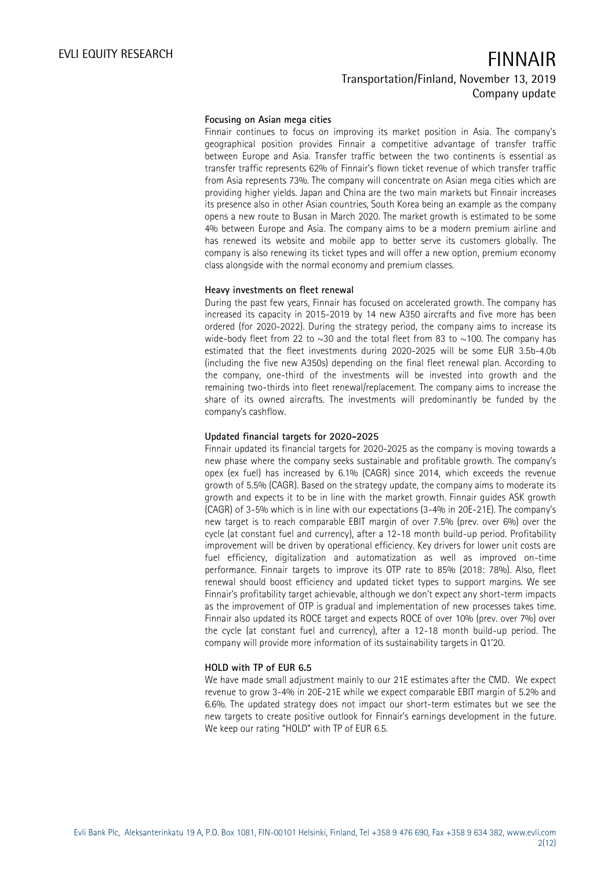### **Focusing on Asian mega cities**

Finnair continues to focus on improving its market position in Asia. The company's geographical position provides Finnair a competitive advantage of transfer traffic between Europe and Asia. Transfer traffic between the two continents is essential as transfer traffic represents 62% of Finnair's flown ticket revenue of which transfer traffic from Asia represents 73%. The company will concentrate on Asian mega cities which are providing higher yields. Japan and China are the two main markets but Finnair increases its presence also in other Asian countries, South Korea being an example as the company opens a new route to Busan in March 2020. The market growth is estimated to be some 4% between Europe and Asia. The company aims to be a modern premium airline and has renewed its website and mobile app to better serve its customers globally. The company is also renewing its ticket types and will offer a new option, premium economy class alongside with the normal economy and premium classes.

### **Heavy investments on fleet renewal**

During the past few years, Finnair has focused on accelerated growth. The company has increased its capacity in 2015-2019 by 14 new A350 aircrafts and five more has been ordered (for 2020-2022). During the strategy period, the company aims to increase its wide-body fleet from 22 to  $\sim$ 30 and the total fleet from 83 to  $\sim$ 100. The company has estimated that the fleet investments during 2020-2025 will be some EUR 3.5b-4.0b (including the five new A350s) depending on the final fleet renewal plan. According to the company, one-third of the investments will be invested into growth and the remaining two-thirds into fleet renewal/replacement. The company aims to increase the share of its owned aircrafts. The investments will predominantly be funded by the company's cashflow.

### **Updated financial targets for 2020-2025**

Finnair updated its financial targets for 2020-2025 as the company is moving towards a new phase where the company seeks sustainable and profitable growth. The company's opex (ex fuel) has increased by 6.1% (CAGR) since 2014, which exceeds the revenue growth of 5.5% (CAGR). Based on the strategy update, the company aims to moderate its growth and expects it to be in line with the market growth. Finnair guides ASK growth (CAGR) of 3-5% which is in line with our expectations (3-4% in 20E-21E). The company's new target is to reach comparable EBIT margin of over 7.5% (prev. over 6%) over the cycle (at constant fuel and currency), after a 12-18 month build-up period. Profitability improvement will be driven by operational efficiency. Key drivers for lower unit costs are fuel efficiency, digitalization and automatization as well as improved on-time performance. Finnair targets to improve its OTP rate to 85% (2018: 78%). Also, fleet renewal should boost efficiency and updated ticket types to support margins. We see Finnair's profitability target achievable, although we don't expect any short-term impacts as the improvement of OTP is gradual and implementation of new processes takes time. Finnair also updated its ROCE target and expects ROCE of over 10% (prev. over 7%) over the cycle (at constant fuel and currency), after a 12-18 month build-up period. The company will provide more information of its sustainability targets in Q1'20.

### **HOLD with TP of EUR 6.5**

We have made small adjustment mainly to our 21E estimates after the CMD. We expect revenue to grow 3-4% in 20E-21E while we expect comparable EBIT margin of 5.2% and 6.6%. The updated strategy does not impact our short-term estimates but we see the new targets to create positive outlook for Finnair's earnings development in the future. We keep our rating "HOLD" with TP of EUR 6.5.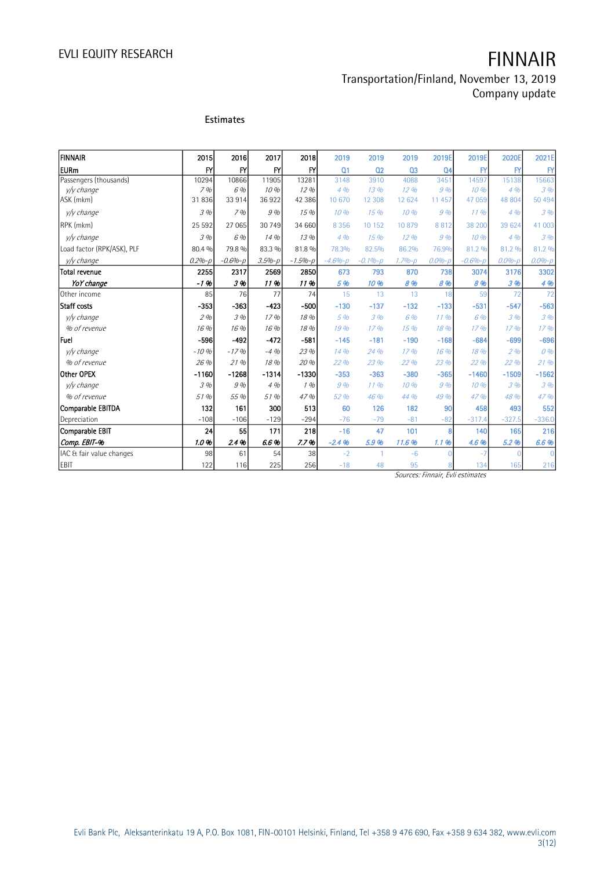## Transportation/Finland, November 13, 2019 Company update

### **Estimates**

| <b>FINNAIR</b>             | 2015         | 2016          | 2017       | 2018          | 2019           | 2019           | 2019           | 2019E          | 2019E        | 2020E        | 2021E        |
|----------------------------|--------------|---------------|------------|---------------|----------------|----------------|----------------|----------------|--------------|--------------|--------------|
| <b>EURm</b>                | $\mathsf{F}$ | $\mathsf{F}'$ | <b>FY</b>  | $\mathsf{F}'$ | Q <sub>1</sub> | Q <sub>2</sub> | Q <sub>3</sub> | Q <sub>4</sub> | $\mathsf{F}$ | $\mathsf{F}$ | $\mathsf{F}$ |
| Passengers (thousands)     | 10294        | 10866         | 11905      | 13281         | 3148           | 3910           | 4088           | 3451           | 14597        | 15138        | 15663        |
| v/v change                 | 7%           | 6 %           | 10%        | 12%           | 4%             | 13 %           | 12.96          | 9 %            | 10%          | 4%           | 3%           |
| ASK (mkm)                  | 31836        | 33 914        | 36922      | 42 38 6       | 10 670         | 12 308         | 12 624         | 11 457         | 47 059       | 48 804       | 50 494       |
| y/y change                 | 3%           | 7%            | 9%         | 15 %          | 10%            | 15%            | 10%            | 9 %            | 1196         | 4%           | 3%           |
| RPK (mkm)                  | 25 5 9 2     | 27 065        | 30 749     | 34 660        | 8 3 5 6        | 10 152         | 10879          | 8812           | 38 200       | 39 624       | 41 003       |
| v/v change                 | 3%           | 6 %           | 14 %       | 13 %          | 4%             | 15%            | 12.96          | 9%             | 10%          | 4%           | 3%           |
| Load factor (RPK/ASK), PLF | 80.4 %       | 79.8 %        | 83.3 %     | 81.8 %        | 78.3%          | 82.5%          | 86.2%          | 76.9%          | 81.2 %       | 81.2 %       | 81.2 %       |
| v/v change                 | $0.2% - p$   | $-0.6% - p$   | $3.5% - p$ | $-1.5% - p$   | $-4.6% - p$    | $-0.1% - p$    | $1.7% - p$     | $0.0% - p$     | $-0.6% - p$  | $0.0% - p$   | $0.0% - p$   |
| <b>Total revenue</b>       | 2255         | 2317          | 2569       | 2850          | 673            | 793            | 870            | 738            | 3074         | 3176         | 3302         |
| YoY change                 | $-1.96$      | 3%            | 11%        | 11%           | 5 %            | 10 %           | 8 %            | 8 %            | 8 %          | 3 %          | 4 %          |
| Other income               | 85           | 76            | 77         | 74            | 15             | 13             | 13             | 18             | 59           | 72           | 72           |
| Staff costs                | $-353$       | $-363$        | $-423$     | $-500$        | $-130$         | $-137$         | $-132$         | $-133$         | $-531$       | $-547$       | $-563$       |
| v/v change                 | 2%           | 3 %           | 17%        | 18 %          | 5%             | 3%             | 6 %            | 11.96          | 6 %          | 3%           | 3%           |
| % of revenue               | 16 %         | 16 %          | 16 %       | 18 %          | 19 %           | 17%            | 15%            | 18 %           | 17%          | 17.96        | 17%          |
| lFuel                      | $-596$       | $-492$        | $-472$     | $-581$        | $-145$         | $-181$         | $-190$         | $-168$         | $-684$       | $-699$       | $-696$       |
| v/v change                 | $-10%$       | $-17%$        | $-4%$      | 23 %          | 14 %           | 24 %           | 17%            | 16 %           | 18 %         | 2%           | 0%           |
| % of revenue               | 26%          | 21 %          | 18 %       | 20 %          | 22 %           | 23 %           | 22 %           | 23 %           | 22 %         | 22 %         | 21%          |
| Other OPEX                 | $-1160$      | $-1268$       | $-1314$    | $-1330$       | $-353$         | $-363$         | $-380$         | $-365$         | $-1460$      | $-1509$      | $-1562$      |
| v/v change                 | 3%           | 9 %           | 4%         | 1%            | 9%             | 11.96          | 10%            | 9%             | 10%          | 3%           | 3%           |
| % of revenue               | 51 %         | 55 %          | 51 %       | 47 %          | 52 %           | 46 %           | 44 %           | 49 %           | 47 %         | 48 %         | 47 %         |
| <b>Comparable EBITDA</b>   | 132          | 161           | 300        | 513           | 60             | 126            | 182            | 90             | 458          | 493          | 552          |
| Depreciation               | $-108$       | $-106$        | $-129$     | $-294$        | $-76$          | $-79$          | $-81$          | $-82$          | $-317.4$     | $-327.5$     | $-336.0$     |
| <b>Comparable EBIT</b>     | 24           | 55            | 171        | 218           | $-16$          | 47             | 101            | 8              | 140          | 165          | 216          |
| Comp. EBIT-%               | 1.0%         | 2.4%          | 6.6%       | 7.7%          | $-2.4%$        | 5.9%           | 11.6%          | 1.1%           | 4.6%         | 5.2%         | 6.6%         |
| IAC & fair value changes   | 98           | 61            | 54         | 38            | $-2$           | $\overline{1}$ | $-6$           |                | $-7$         | $\Omega$     | O            |
| EBIT                       | 122          | 116           | 225        | 256           | $-18$          | 48             | 95             |                | 134          | 165          | 216          |

Sources: Finnair, Evli estimates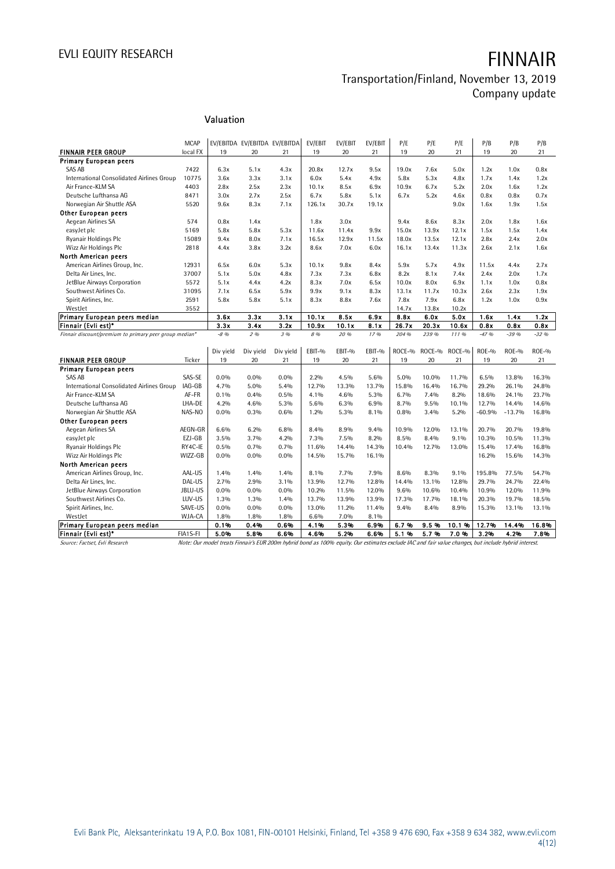### **Valuation**

|                                                        |               | Valuation    |                               |              |                |               |              |               |               |               |              |              |              |
|--------------------------------------------------------|---------------|--------------|-------------------------------|--------------|----------------|---------------|--------------|---------------|---------------|---------------|--------------|--------------|--------------|
|                                                        | <b>MCAP</b>   |              | EV/EBITDA EV/EBITDA EV/EBITDA |              |                |               | EV/EBIT      |               |               | P/E           |              | P/B          |              |
| <b>FINNAIR PEER GROUP</b>                              | local FX      | 19           | 20                            | 21           | EV/EBIT<br>19  | EV/EBIT<br>20 | 21           | P/E<br>19     | P/E<br>20     | 21            | P/B<br>19    | 20           | P/B<br>21    |
| <b>Primary European peers</b>                          |               |              |                               |              |                |               |              |               |               |               |              |              |              |
| SAS AB                                                 | 7422          | 6.3x         | 5.1x                          | 4.3x         | 20.8x          | 12.7x         | 9.5x         | 19.0x         | 7.6x          | 5.0x          | 1.2x         | 1.0x         | 0.8x         |
| International Consolidated Airlines Group              | 10775         | 3.6x         | 3.3x                          | 3.1x         | 6.0x           | 5.4x          | 4.9x         | 5.8x          | 5.3x          | 4.8x          | 1.7x         | 1.4x         | 1.2x         |
| Air France-KLM SA                                      | 4403          | 2.8x         | 2.5x                          | 2.3x         | 10.1x          | 8.5x          | 6.9x         | 10.9x         | 6.7x          | 5.2x          | 2.0x         | 1.6x         | 1.2x         |
| Deutsche Lufthansa AG                                  | 8471          | 3.0x         | 2.7x                          | 2.5x         | 6.7x           | 5.8x          | 5.1x         | 6.7x          | 5.2x          | 4.6x          | 0.8x         | 0.8x         | 0.7x         |
| Norwegian Air Shuttle ASA                              | 5520          | 9.6x         | 8.3x                          | 7.1x         | 126.1x         | 30.7x         | 19.1x        |               |               | 9.0x          | 1.6x         | 1.9x         | 1.5x         |
| <b>Other European peers</b>                            |               |              |                               |              |                |               |              |               |               |               |              |              |              |
| Aegean Airlines SA                                     | 574           | 0.8x         | 1.4x                          |              | 1.8x           | 3.0x          |              | 9.4x          | 8.6x          | 8.3x          | 2.0x         | 1.8x         | 1.6x         |
| easyJet plc                                            | 5169          | 5.8x         | 5.8x                          | 5.3x         | 11.6x          | 11.4x         | 9.9x         | 15.0x         | 13.9x         | 12.1x         | 1.5x         | 1.5x         | 1.4x         |
| Ryanair Holdings Plc                                   | 15089         | 9.4x         | 8.0x                          | 7.1x         | 16.5x          | 12.9x         | 11.5x        | 18.0x         | 13.5x         | 12.1x         | 2.8x         | 2.4x         | 2.0x         |
| Wizz Air Holdings Plc                                  | 2818          | 4.4x         | 3.8x                          | 3.2x         | 8.6x           | 7.0x          | 6.0x         | 16.1x         | 13.4x         | 11.3x         | 2.6x         | 2.1x         | 1.6x         |
| North American peers                                   |               |              |                               |              |                |               |              |               |               |               |              |              |              |
|                                                        |               |              | 6.0x                          |              | 10.1x          |               | 8.4x         | 5.9x          |               | 4.9x          | 11.5x        | 4.4x         | 2.7x         |
| American Airlines Group, Inc.                          | 12931         | 6.5x         | 5.0x                          | 5.3x         | 7.3x           | 9.8x          | 6.8x         |               | 5.7x          |               | 2.4x         | 2.0x         | 1.7x         |
| Delta Air Lines, Inc.                                  | 37007<br>5572 | 5.1x<br>5.1x | 4.4x                          | 4.8x<br>4.2x | 8.3x           | 7.3x<br>7.0x  | 6.5x         | 8.2x<br>10.0x | 8.1x<br>8.0x  | 7.4x<br>6.9x  | 1.1x         | 1.0x         | 0.8x         |
| JetBlue Airways Corporation<br>Southwest Airlines Co.  |               |              |                               |              |                |               |              |               |               |               |              |              |              |
|                                                        | 31095         | 7.1x         | 6.5x<br>5.8x                  | 5.9x<br>5.1x | 9.9x<br>8.3x   | 9.1x<br>8.8x  | 8.3x<br>7.6x | 13.1x<br>7.8x | 11.7x<br>7.9x | 10.3x<br>6.8x | 2.6x<br>1.2x | 2.3x         | 1.9x<br>0.9x |
| Spirit Airlines, Inc.                                  | 2591          | 5.8x         |                               |              |                |               |              |               |               |               |              | 1.0x         |              |
| WestJet                                                | 3552          |              |                               |              |                | 8.5x          |              | 14.7x         | 13.8x         | 10.2x         |              |              |              |
| Primary European peers median<br>Finnair (Evli est)*   |               | 3.6x<br>3.3x | 3.3x<br>3.4x                  | 3.1x<br>3.2x | 10.1x<br>10.9x | 10.1x         | 6.9x<br>8.1x | 8.8x<br>26.7x | 6.0x<br>20.3x | 5.0x<br>10.6x | 1.6x<br>0.8x | 1.4x<br>0.8x | 1.2x<br>0.8x |
|                                                        |               | $-8.96$      | 296                           | 3 %          | 8 %            | 20 %          | 17.96        | 204 %         | 239 %         | 111 %         | $-47.96$     | $-39%$       | $-32.96$     |
| Finnair discount/premium to primary peer group median* |               |              |                               |              |                |               |              |               |               |               |              |              |              |
|                                                        |               | Div yield    | Div yield                     | Div yield    | EBIT-%         | EBIT-%        | EBIT-%       | ROCE-%        | ROCE-%        | ROCE-%        | <b>ROE-%</b> | <b>ROE-%</b> | ROE-%        |
| <b>FINNAIR PEER GROUP</b>                              | Ticker        | 19           | 20                            | 21           | 19             | 20            | 21           | 19            | 20            | 21            | 19           | 20           | 21           |
| <b>Primary European peers</b>                          |               |              |                               |              |                |               |              |               |               |               |              |              |              |
| <b>SAS AB</b>                                          | SAS-SE        | $0.0\%$      | $0.0\%$                       | 0.0%         | 2.2%           | 4.5%          | 5.6%         | 5.0%          | 10.0%         | 11.7%         | 6.5%         | 13.8%        | 16.3%        |
| International Consolidated Airlines Group              | IAG-GB        | 4.7%         | 5.0%                          | 5.4%         | 12.7%          | 13.3%         | 13.7%        | 15.8%         | 16.4%         | 16.7%         | 29.2%        | 26.1%        | 24.8%        |
| Air France-KLM SA                                      | AF-FR         | 0.1%         | 0.4%                          | 0.5%         | 4.1%           | 4.6%          | 5.3%         | 6.7%          | 7.4%          | 8.2%          | 18.6%        | 24.1%        | 23.7%        |
| Deutsche Lufthansa AG                                  | LHA-DE        | 4.2%         | 4.6%                          | 5.3%         | 5.6%           | 6.3%          | 6.9%         | 8.7%          | 9.5%          | 10.1%         | 12.7%        | 14.4%        | 14.6%        |
| Norwegian Air Shuttle ASA                              | NAS-NO        | $0.0\%$      | $0.3\%$                       | 0.6%         | 1.2%           | 5.3%          | 8.1%         | 0.8%          | 3.4%          | 5.2%          | $-60.9%$     | $-13.7%$     | 16.8%        |
| Other European peers                                   |               |              |                               |              |                |               |              |               |               |               |              |              |              |
| Aegean Airlines SA                                     | AEGN-GR       | 6.6%         | 6.2%                          | 6.8%         | 8.4%           | 8.9%          | 9.4%         | 10.9%         | 12.0%         | 13.1%         | 20.7%        | 20.7%        | 19.8%        |
| easyJet plc                                            | EZJ-GB        | 3.5%         | 3.7%                          | 4.2%         | $7.3\%$        | 7.5%          | 8.2%         | 8.5%          | 8.4%          | 9.1%          | 10.3%        | 10.5%        | 11.3%        |
| Ryanair Holdings Plc                                   | RY4C-IE       | 0.5%         | 0.7%                          | 0.7%         | 11.6%          | 14.4%         | 14.3%        | 10.4%         | 12.7%         | 13.0%         | 15.4%        | 17.4%        | 16.8%        |
| Wizz Air Holdings Plc                                  | WIZZ-GB       | $0.0\%$      | $0.0\%$                       | 0.0%         | 14.5%          | 15.7%         | 16.1%        |               |               |               | 16.2%        | 15.6%        | 14.3%        |
| North American peers                                   |               |              |                               |              |                |               |              |               |               |               |              |              |              |
| American Airlines Group, Inc.                          | AAL-US        | 1.4%         | 1.4%                          | 1.4%         | 8.1%           | 7.7%          | 7.9%         | 8.6%          | 8.3%          | 9.1%          | 195.8%       | 77.5%        | 54.7%        |
| Delta Air Lines, Inc.                                  | DAL-US        | 2.7%         | 2.9%                          | 3.1%         | 13.9%          | 12.7%         | 12.8%        | 14.4%         | 13.1%         | 12.8%         | 29.7%        | 24.7%        | 22.4%        |
| JetBlue Airways Corporation                            | JBLU-US       | $0.0\%$      | $0.0\%$                       | 0.0%         | 10.2%          | 11.5%         | 12.0%        | 9.6%          | 10.6%         | 10.4%         | 10.9%        | 12.0%        | 11.9%        |
|                                                        | LUV-US        |              |                               |              |                |               |              |               |               |               |              |              |              |
| Southwest Airlines Co.                                 |               | $1.3\%$      | 1.3%                          | 1.4%         | 13.7%          | 13.9%         | 13.9%        | 17.3%         | 17.7%         | 18.1%         | 20.3%        | 19.7%        | 18.5%        |
| Spirit Airlines, Inc.                                  | SAVE-US       | $0.0\%$      | $0.0\%$                       | 0.0%         | 13.0%          | 11.2%         | 11.4%        | 9.4%          | 8.4%          | 8.9%          | 15.3%        | 13.1%        | 13.1%        |
| WestJet                                                | WJA-CA        | 1.8%         | 1.8%                          | 1.8%         | 6.6%           | 7.0%          | 8.1%         |               |               |               |              |              |              |
| Primary European peers median<br>Finnair (Evli est)*   |               | 0.1%         | 0.4%                          | 0.6%         | 4.1%           | 5.3%          | 6.9%         | 6.7%          | 9.5%          | 10.1%         | 12.7%        | 14.4%        | 16.8%        |
|                                                        | FIA1S-FI      | 5.0%         | 5.8%                          | 6.6%         | 4.6%           | 5.2%          | 6.6%         | 5.1%          | 5.7%          | 7.0%          | 3.2%         | 4.2%         | 7.8%         |

Finnair (Evli est)\* FIA1S-FI 5.0% 5.8% 6.6% 4.6% 5.2% 6.6% 5.1 % 5.7 % 7.0 % 3.2% 4.2% 7.8%

Source: Factset, Evli Research Note: Our model treats Finnair's EUR 200m hybrid bond as 100% equity. Our estimates exclude IAC and fair value changes, but include hybrid interest.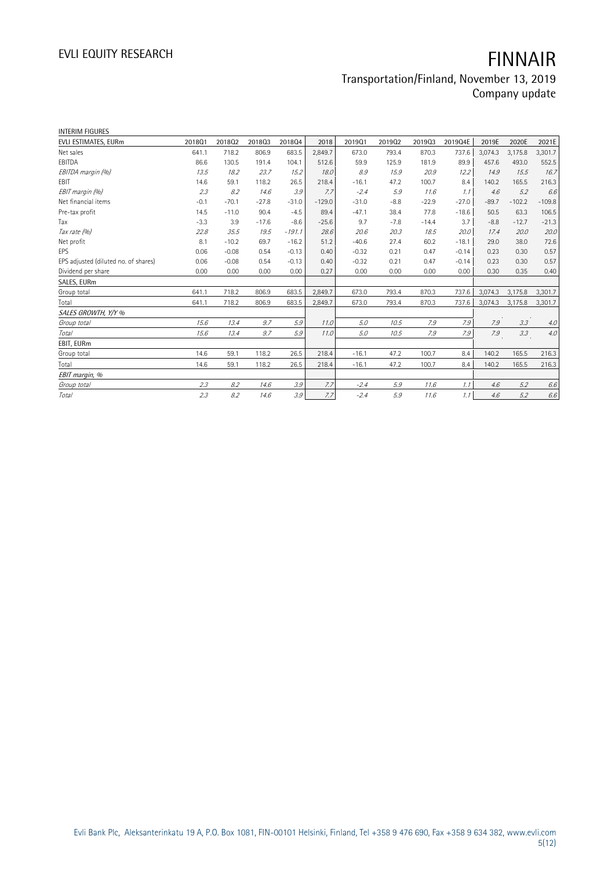# EVLI EQUITY RESEARCH **FINNAIR**

## Transportation/Finland, November 13, 2019 Company update

| <b>INTERIM FIGURES</b>               |        |         |         |          |          |         |        |         |         |         |          |          |
|--------------------------------------|--------|---------|---------|----------|----------|---------|--------|---------|---------|---------|----------|----------|
| EVLI ESTIMATES, EURm                 | 2018Q1 | 201802  | 201803  | 201804   | 2018     | 2019Q1  | 201902 | 201903  | 2019Q4E | 2019E   | 2020E    | 2021E    |
| Net sales                            | 641.1  | 718.2   | 806.9   | 683.5    | 2,849.7  | 673.0   | 793.4  | 870.3   | 737.6   | 3,074.3 | 3,175.8  | 3,301.7  |
| EBITDA                               | 86.6   | 130.5   | 191.4   | 104.1    | 512.6    | 59.9    | 125.9  | 181.9   | 89.9    | 457.6   | 493.0    | 552.5    |
| EBITDA margin (%)                    | 13.5   | 18.2    | 23.7    | 15.2     | 18.0     | 8.9     | 15.9   | 20.9    | 12.2    | 14.9    | 15.5     | 16.7     |
| EBIT                                 | 14.6   | 59.1    | 118.2   | 26.5     | 218.4    | $-16.1$ | 47.2   | 100.7   | 8.4     | 140.2   | 165.5    | 216.3    |
| EBIT margin (%)                      | 2.3    | 8.2     | 14.6    | 3.9      | 7.7      | $-2.4$  | 5.9    | 11.6    | 1.1     | 4.6     | 5.2      | 6.6      |
| Net financial items                  | $-0.1$ | $-70.1$ | $-27.8$ | $-31.0$  | $-129.0$ | $-31.0$ | $-8.8$ | $-22.9$ | $-27.0$ | $-89.7$ | $-102.2$ | $-109.8$ |
| Pre-tax profit                       | 14.5   | $-11.0$ | 90.4    | $-4.5$   | 89.4     | $-47.1$ | 38.4   | 77.8    | $-18.6$ | 50.5    | 63.3     | 106.5    |
| Tax                                  | $-3.3$ | 3.9     | $-17.6$ | $-8.6$   | $-25.6$  | 9.7     | $-7.8$ | $-14.4$ | 3.7     | $-8.8$  | $-12.7$  | $-21.3$  |
| Tax rate (%)                         | 22.8   | 35.5    | 19.5    | $-191.1$ | 28.6     | 20.6    | 20.3   | 18.5    | 20.0    | 17.4    | 20.0     | 20.0     |
| Net profit                           | 8.1    | $-10.2$ | 69.7    | $-16.2$  | 51.2     | $-40.6$ | 27.4   | 60.2    | $-18.1$ | 29.0    | 38.0     | 72.6     |
| EPS                                  | 0.06   | $-0.08$ | 0.54    | $-0.13$  | 0.40     | $-0.32$ | 0.21   | 0.47    | $-0.14$ | 0.23    | 0.30     | 0.57     |
| EPS adjusted (diluted no. of shares) | 0.06   | $-0.08$ | 0.54    | $-0.13$  | 0.40     | $-0.32$ | 0.21   | 0.47    | $-0.14$ | 0.23    | 0.30     | 0.57     |
| Dividend per share                   | 0.00   | 0.00    | 0.00    | 0.00     | 0.27     | 0.00    | 0.00   | 0.00    | 0.00    | 0.30    | 0.35     | 0.40     |
| SALES, EURm                          |        |         |         |          |          |         |        |         |         |         |          |          |
| Group total                          | 641.1  | 718.2   | 806.9   | 683.5    | 2,849.7  | 673.0   | 793.4  | 870.3   | 737.6   | 3,074.3 | 3,175.8  | 3,301.7  |
| Total                                | 641.1  | 718.2   | 806.9   | 683.5    | 2,849.7  | 673.0   | 793.4  | 870.3   | 737.6   | 3,074.3 | 3,175.8  | 3,301.7  |
| SALES GROWTH, Y/Y %                  |        |         |         |          |          |         |        |         |         |         |          |          |
| Group total                          | 15.6   | 13.4    | 9.7     | 5.9      | 11.0     | $5.0\,$ | 10.5   | 7.9     | 7.9     | 7.9     | 3.3      | $4.0$    |
| Total                                | 15.6   | 13.4    | 9.7     | 5.9      | 11.0     | 5.0     | 10.5   | 7.9     | 7.9     | 7.9     | 3.3      | $4.0$    |
| EBIT, EURm                           |        |         |         |          |          |         |        |         |         |         |          |          |
| Group total                          | 14.6   | 59.1    | 118.2   | 26.5     | 218.4    | $-16.1$ | 47.2   | 100.7   | 8.4     | 140.2   | 165.5    | 216.3    |
| Total                                | 14.6   | 59.1    | 118.2   | 26.5     | 218.4    | $-16.1$ | 47.2   | 100.7   | 8.4     | 140.2   | 165.5    | 216.3    |
| EBIT margin, %                       |        |         |         |          |          |         |        |         |         |         |          |          |
| Group total                          | 2.3    | 8.2     | 14.6    | 3.9      | 7.7      | $-2.4$  | 5.9    | 11.6    | 1.1     | 4.6     | 5.2      | 6.6      |
| Total                                | 2.3    | 8.2     | 14.6    | 3.9      | 7.7      | $-2.4$  | 5.9    | 11.6    | 1.1     | 4.6     | 5.2      | 6.6      |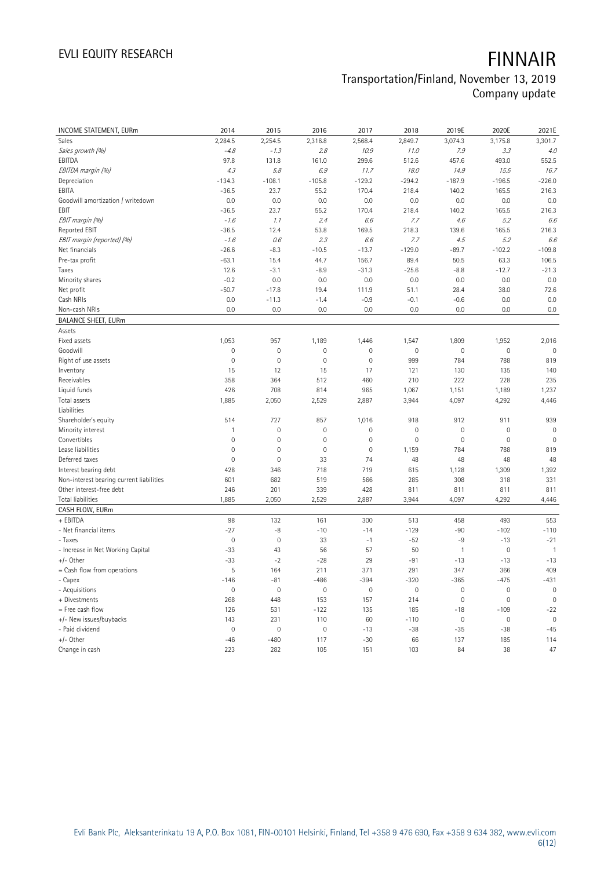# EVLI EQUITY RESEARCH **FINNAIR**

## Transportation/Finland, November 13, 2019 Company update

| INCOME STATEMENT, EURm                   | 2014           | 2015                | 2016                | 2017         | 2018        | 2019E               | 2020E       | 2021E          |
|------------------------------------------|----------------|---------------------|---------------------|--------------|-------------|---------------------|-------------|----------------|
| Sales                                    | 2,284.5        | 2,254.5             | 2,316.8             | 2,568.4      | 2,849.7     | 3,074.3             | 3,175.8     | 3,301.7        |
| Sales growth (%)                         | $-4.8$         | $-1.3$              | 2.8                 | 10.9         | 11.0        | 7.9                 | 3.3         | 4.0            |
| EBITDA                                   | 97.8           | 131.8               | 161.0               | 299.6        | 512.6       | 457.6               | 493.0       | 552.5          |
| EBITDA margin (%)                        | 4.3            | 5.8                 | 6.9                 | 11.7         | 18.0        | 14.9                | 15.5        | 16.7           |
| Depreciation                             | $-134.3$       | $-108.1$            | $-105.8$            | $-129.2$     | $-294.2$    | $-187.9$            | $-196.5$    | $-226.0$       |
| EBITA                                    | $-36.5$        | 23.7                | 55.2                | 170.4        | 218.4       | 140.2               | 165.5       | 216.3          |
| Goodwill amortization / writedown        | 0.0            | 0.0                 | 0.0                 | 0.0          | 0.0         | 0.0                 | 0.0         | 0.0            |
| EBIT                                     | $-36.5$        | 23.7                | 55.2                | 170.4        | 218.4       | 140.2               | 165.5       | 216.3          |
| EBIT margin (%)                          | $-1.6$         | 1.1                 | 2.4                 | 6.6          | 7.7         | 4.6                 | 5.2         | 6.6            |
| Reported EBIT                            | $-36.5$        | 12.4                | 53.8                | 169.5        | 218.3       | 139.6               | 165.5       | 216.3          |
| EBIT margin (reported) (%)               | $-1.6$         | 0.6                 | 2.3                 | 6.6          | 7.7         | 4.5                 | 5.2         | 6.6            |
| Net financials                           | $-26.6$        | $-8.3$              | $-10.5$             | $-13.7$      | $-129.0$    | $-89.7$             | $-102.2$    | $-109.8$       |
| Pre-tax profit                           | $-63.1$        | 15.4                | 44.7                | 156.7        | 89.4        | 50.5                | 63.3        | 106.5          |
| Taxes                                    | 12.6           | $-3.1$              | $-8.9$              | $-31.3$      | $-25.6$     | $-8.8$              | $-12.7$     | $-21.3$        |
| Minority shares                          | $-0.2$         | 0.0                 | 0.0                 | 0.0          | 0.0         | 0.0                 | 0.0         | 0.0            |
| Net profit                               | $-50.7$        | $-17.8$             | 19.4                | 111.9        | 51.1        | 28.4                | 38.0        | 72.6           |
| Cash NRIs                                | 0.0            | $-11.3$             | $-1.4$              | $-0.9$       | $-0.1$      | $-0.6$              | 0.0         | 0.0            |
| Non-cash NRIs                            | 0.0            | 0.0                 | 0.0                 | 0.0          | 0.0         | 0.0                 | 0.0         | 0.0            |
| <b>BALANCE SHEET, EURm</b>               |                |                     |                     |              |             |                     |             |                |
| Assets                                   |                |                     |                     |              |             |                     |             |                |
| Fixed assets                             | 1,053          | 957                 | 1,189               | 1,446        | 1,547       | 1,809               | 1,952       | 2,016          |
| Goodwill                                 | $\mathbf 0$    | $\overline{0}$      | $\mathsf{O}\xspace$ | $\mathbf 0$  | $\mathbf 0$ | $\mathsf{O}\xspace$ | $\mathbf 0$ | $\mathbf 0$    |
| Right of use assets                      | $\mathbf 0$    | $\mathbf 0$         | $\mathbf 0$         | $\mathbf{0}$ | 999         | 784                 | 788         | 819            |
| Inventory                                | 15             | 12                  | 15                  | 17           | 121         | 130                 | 135         | 140            |
| Receivables                              | 358            | 364                 | 512                 | 460          | 210         | 222                 | 228         | 235            |
| Liquid funds                             | 426            | 708                 | 814                 | 965          | 1,067       | 1,151               | 1,189       | 1,237          |
| Total assets                             | 1,885          | 2,050               | 2,529               | 2,887        | 3,944       | 4,097               | 4,292       | 4,446          |
| Liabilities                              |                |                     |                     |              |             |                     |             |                |
| Shareholder's equity                     | 514            | 727                 | 857                 | 1,016        | 918         | 912                 | 911         | 939            |
| Minority interest                        | 1              | $\overline{0}$      | 0                   | $\mathbf 0$  | $\mathbf 0$ | $\mathbf 0$         | $\mathbf 0$ | $\mathbf 0$    |
| Convertibles                             | $\mathbf 0$    | $\overline{0}$      | 0                   | $\mathbf 0$  | $\mathbf 0$ | $\mathbf 0$         | $\mathbf 0$ | $\mathbf 0$    |
| Lease liabilities                        | $\overline{0}$ | $\mathbf 0$         | $\mathbf 0$         | $\mathbf{0}$ | 1,159       | 784                 | 788         | 819            |
| Deferred taxes                           | $\mathbf 0$    | $\mathbf 0$         | 33                  | 74           | 48          | 48                  | 48          | 48             |
| Interest bearing debt                    | 428            | 346                 | 718                 | 719          | 615         | 1,128               | 1,309       | 1,392          |
| Non-interest bearing current liabilities | 601            | 682                 | 519                 | 566          | 285         | 308                 | 318         | 331            |
| Other interest-free debt                 | 246            | 201                 | 339                 | 428          | 811         | 811                 | 811         | 811            |
| Total liabilities                        | 1,885          | 2,050               | 2,529               | 2,887        | 3,944       | 4,097               | 4,292       | 4,446          |
| CASH FLOW, EURm                          |                |                     |                     |              |             |                     |             |                |
| + EBITDA                                 | 98             | 132                 | 161                 | 300          | 513         | 458                 | 493         | 553            |
| - Net financial items                    | $-27$          | $-8$                | $-10$               | $-14$        | $-129$      | $-90$               | $-102$      | $-110$         |
| - Taxes                                  | $\mathbf 0$    | $\mathbf 0$         | 33                  | $-1$         | $-52$       | $-9$                | $-13$       | $-21$          |
| - Increase in Net Working Capital        | $-33$          | 43                  | 56                  | 57           | 50          | $\mathbf{1}$        | $\mathbf 0$ | $\overline{1}$ |
| +/- Other                                | $-33$          | $-2$                | $-28$               | 29           | $-91$       | $-13$               | $-13$       | $-13$          |
| = Cash flow from operations              | 5              | 164                 | 211                 | 371          | 291         | 347                 | 366         | 409            |
| - Capex                                  | $-146$         | $-81$               | $-486$              | $-394$       | $-320$      | $-365$              | $-475$      | $-431$         |
| - Acquisitions                           | $\mathbf 0$    | $\mathsf{O}\xspace$ | 0                   | $\mathbb O$  | $\mathbb O$ | $\mathbb O$         | $\mathbf 0$ | $\mathbb O$    |
| + Divestments                            | 268            | 448                 | 153                 | 157          | 214         | $\mathbf 0$         | $\mathbf 0$ | $\mathbf 0$    |
| = Free cash flow                         | 126            | 531                 | $-122$              | 135          | 185         | $-18$               | $-109$      | $-22$          |
| +/- New issues/buybacks                  | 143            | 231                 | 110                 | 60           | $-110$      | $\mathsf{O}\xspace$ | $\mathbf 0$ | $\mathbf 0$    |
| - Paid dividend                          | $\mathbf 0$    | $\mathbf 0$         | $\mathsf{O}\xspace$ | $-13$        | $-38$       | $-35$               | $-38$       | $-45$          |
| $+/-$ Other                              | $-46$          | $-480$              | 117                 | $-30$        | 66          | 137                 | 185         | 114            |
| Change in cash                           | 223            | 282                 | 105                 | 151          | 103         | 84                  | 38          | 47             |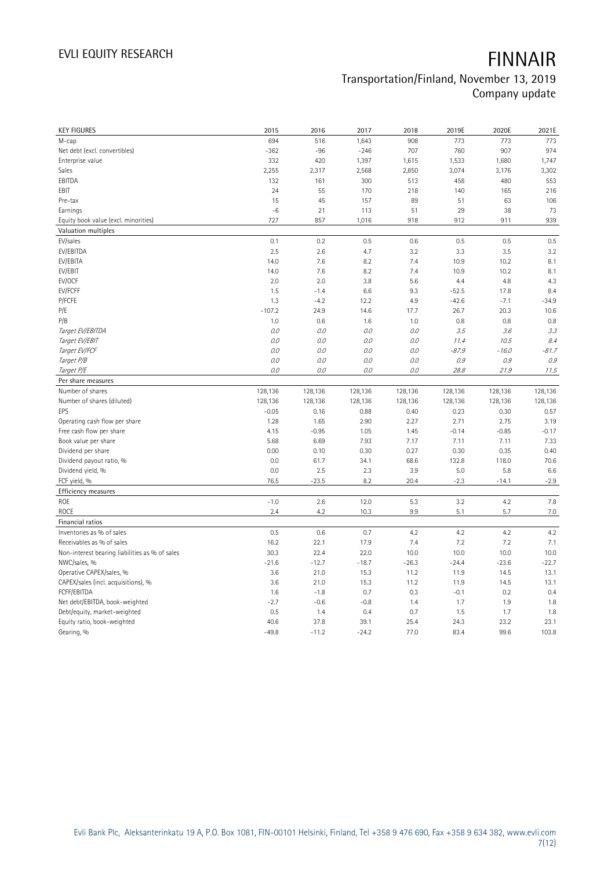| <b>KEY FIGURES</b>                             | 2015            | 2016            | 2017            | 2018         | 2019E        | 2020E        | 2021E         |
|------------------------------------------------|-----------------|-----------------|-----------------|--------------|--------------|--------------|---------------|
| M-cap                                          | 694             | 516             | 1,643           | 908          | 773          | 773          | 773           |
| Net debt (excl. convertibles)                  | $-362$          | $-96$           | $-246$          | 707          | 760          | 907          | 974           |
| Enterprise value                               | 332             | 420             | 1,397           | 1,615        | 1,533        | 1,680        | 1,747         |
| Sales                                          | 2,255           | 2,317           | 2,568           | 2,850        | 3,074        | 3,176        | 3,302         |
| EBITDA                                         | 132             | 161             | 300             | 513          | 458          | 480          | 553           |
| EBIT                                           | 24              | 55              | 170             | 218          | 140          | 165          | 216           |
| Pre-tax                                        | 15              | 45              | 157             | 89           | 51           | 63           | 106           |
| Earnings                                       | $-6$            | 21              | 113             | 51           | 29           | 38           | 73            |
| Equity book value (excl. minorities)           | 727             | 857             | 1,016           | 918          | 912          | 911          | 939           |
| Valuation multiples                            |                 |                 |                 |              |              |              |               |
| EV/sales                                       | 0.1             | 0.2             | 0.5             | 0.6          | 0.5          | 0.5          | 0.5           |
| EV/EBITDA                                      | 2.5             | 2.6             | 4.7             | 3.2          | 3.3          | 3.5          | 3.2           |
| EV/EBITA                                       | 14.0            | 7.6             | 8.2             | 7.4          | 10.9         | 10.2         | 8.1           |
| EV/EBIT                                        | 14.0            | 7.6             | 8.2             | 7.4          | 10.9         | 10.2         | 8.1           |
| EV/OCF                                         | 2.0             | 2.0             | 3.8             | 5.6          | 4.4          | 4.8          | 4.3           |
| EV/FCFF                                        | 1.5             | $-1.4$          | 6.6             | 9.3          | $-52.5$      | 17.8         | 8.4           |
| P/FCFE                                         | 1.3             | $-4.2$          | 12.2            | 4.9          | $-42.6$      | $-7.1$       | $-34.9$       |
| P/E                                            | $-107.2$        | 24.9            | 14.6            | 17.7         | 26.7         | 20.3         | 10.6          |
| P/B                                            | 1.0             | 0.6             | 1.6             | 1.0          | 0.8          | 0.8          | 0.8           |
| Target EV/EBITDA                               | 0.0             | 0.0             | 0.0             | O.O          | 3.5          | 3.6          | 3.3           |
| Target EV/EBIT                                 | 0.0             | 0.0             | 0.0             | 0.0          | 11.4         | 10.5         | 8.4           |
| Target EV/FCF                                  | 0.0             | 0.0             | 0.0             | 0.0          | $-87.9$      | $-16.0$      | $-81.7$       |
| Target P/B                                     | 0.0             | 0.0             | $0.0$           | 0.0          | 0.9          | 0.9          | 0.9           |
| Target P/E                                     | 0.0             | 0.0             | $O.O$           | $O.O$        | 28.8         | 21.9         | 11.5          |
| Per share measures                             |                 |                 |                 |              |              |              |               |
|                                                |                 |                 |                 |              |              |              |               |
|                                                |                 |                 |                 |              |              |              |               |
| Number of shares                               | 128,136         | 128,136         | 128,136         | 128,136      | 128,136      | 128,136      | 128,136       |
| Number of shares (diluted)                     | 128,136         | 128,136         | 128,136         | 128,136      | 128,136      | 128,136      | 128,136       |
| EPS                                            | $-0.05$         | 0.16            | 0.88            | 0.40         | 0.23         | 0.30         | 0.57          |
| Operating cash flow per share                  | 1.28            | 1.65            | 2.90            | 2.27         | 2.71         | 2.75         | 3.19          |
| Free cash flow per share                       | 4.15            | $-0.95$         | 1.05            | 1.45         | $-0.14$      | $-0.85$      | $-0.17$       |
| Book value per share                           | 5.68            | 6.69            | 7.93            | 7.17         | 7.11         | 7.11         | 7.33          |
| Dividend per share                             | 0.00            | 0.10            | 0.30            | 0.27         | 0.30         | 0.35         | 0.40          |
| Dividend payout ratio, %                       | 0.0             | 61.7            | 34.1            | 68.6         | 132.8        | 118.0        | 70.6          |
| Dividend yield, %                              | 0.0             | 2.5             | 2.3             | 3.9          | 5.0          | 5.8          | 6.6           |
| FCF yield, %                                   | 76.5            | $-23.5$         | 8.2             | 20.4         | $-2.3$       | $-14.1$      | $-2.9$        |
| Efficiency measures                            |                 |                 |                 |              |              |              |               |
| ROE                                            | $-1.0$          | 2.6             | 12.0            | 5.3          | 3.2          | 4.2          | 7.8           |
| ROCE                                           | 2.4             | 4.2             | 10.3            | 9.9          | 5.1          | 5.7          | 7.0           |
| Financial ratios                               |                 |                 |                 |              |              |              |               |
| Inventories as % of sales                      | 0.5             | 0.6             | 0.7             | 4.2          | 4.2          | 4.2          | 4.2           |
| Receivables as % of sales                      | 16.2            | 22.1            | 17.9            | 7.4          | 7.2          | 7.2          | 7.1           |
| Non-interest bearing liabilities as % of sales | 30.3            | 22.4            | 22.0            | 10.0         | 10.0         | 10.0         | 10.0          |
| NWC/sales, %                                   | $-21.6$         | $-12.7$         | $-18.7$         | $-26.3$      | $-24.4$      | $-23.6$      | $-22.7$       |
| Operative CAPEX/sales, %                       | 3.6             | 21.0            | 15.3            | 11.2         | 11.9         | 14.5         | 13.1          |
| CAPEX/sales (incl. acquisitions), %            | 3.6             | 21.0            | 15.3            | 11.2         | 11.9         | 14.5         | 13.1          |
| FCFF/EBITDA                                    | 1.6             | $-1.8$          | 0.7             | 0.3          | $-0.1$       | 0.2          | 0.4           |
| Net debt/EBITDA, book-weighted                 | $-2.7$          | $-0.6$          | $-0.8$          | 1.4          | 1.7          | 1.9          | 1.8           |
| Debt/equity, market-weighted                   | 0.5             | 1.4             | 0.4             | 0.7          | 1.5          | 1.7          | 1.8           |
| Equity ratio, book-weighted<br>Gearing, %      | 40.6<br>$-49.8$ | 37.8<br>$-11.2$ | 39.1<br>$-24.2$ | 25.4<br>77.0 | 24.3<br>83.4 | 23.2<br>99.6 | 23.1<br>103.8 |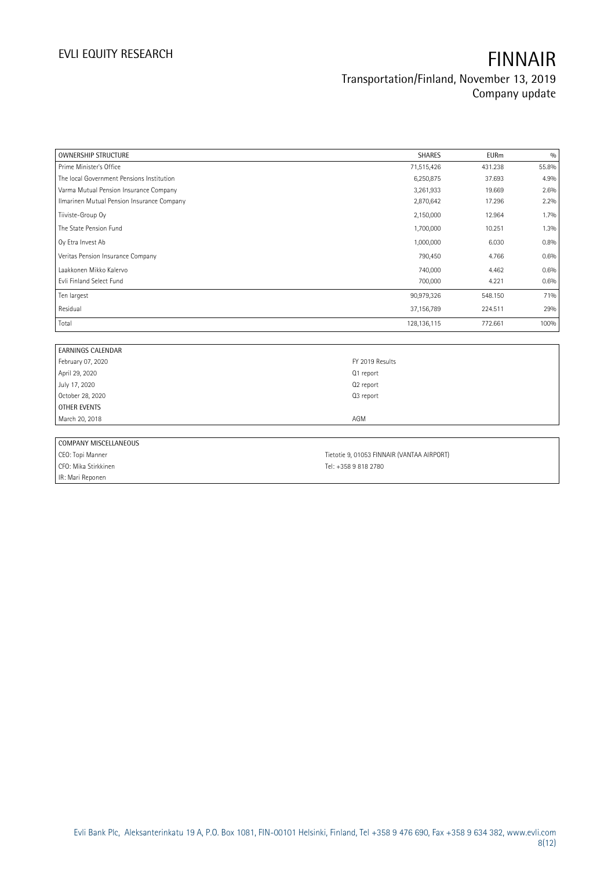| <b>OWNERSHIP STRUCTURE</b>                 | <b>SHARES</b> | <b>EURm</b> | 0/0     |
|--------------------------------------------|---------------|-------------|---------|
| Prime Minister's Office                    | 71,515,426    | 431.238     | 55.8%   |
| The local Government Pensions Institution  | 6,250,875     | 37.693      | 4.9%    |
| Varma Mutual Pension Insurance Company     | 3,261,933     | 19.669      | 2.6%    |
| Ilmarinen Mutual Pension Insurance Company | 2,870,642     | 17.296      | 2.2%    |
| Tiiviste-Group Oy                          | 2,150,000     | 12.964      | $1.7\%$ |
| The State Pension Fund                     | 1,700,000     | 10.251      | 1.3%    |
| Oy Etra Invest Ab                          | 1,000,000     | 6.030       | 0.8%    |
| Veritas Pension Insurance Company          | 790,450       | 4.766       | 0.6%    |
| Laakkonen Mikko Kalervo                    | 740,000       | 4.462       | 0.6%    |
| Evli Finland Select Fund                   | 700,000       | 4.221       | 0.6%    |
| Ten largest                                | 90,979,326    | 548.150     | 71%     |
| Residual                                   | 37,156,789    | 224.511     | 29%     |
| Total                                      | 128, 136, 115 | 772.661     | 100%    |

| <b>EARNINGS CALENDAR</b> |                                            |  |
|--------------------------|--------------------------------------------|--|
| February 07, 2020        | FY 2019 Results                            |  |
| April 29, 2020           | Q1 report                                  |  |
| July 17, 2020            | Q2 report                                  |  |
| October 28, 2020         | Q3 report                                  |  |
| OTHER EVENTS             |                                            |  |
| March 20, 2018           | AGM                                        |  |
|                          |                                            |  |
| COMPANY MISCELLANEOUS    |                                            |  |
| CEO: Topi Manner         | Tietotie 9, 01053 FINNAIR (VANTAA AIRPORT) |  |

IR: Mari Reponen

CFO: Mika Stirkkinen Tel: +358 9 818 2780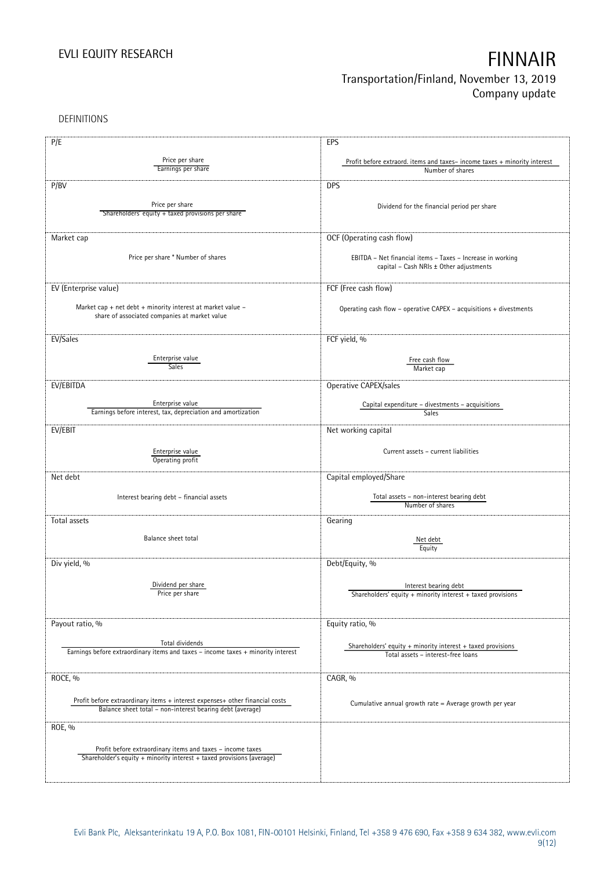DEFINITIONS

| P/E                                                                              | EPS                                                                      |
|----------------------------------------------------------------------------------|--------------------------------------------------------------------------|
|                                                                                  |                                                                          |
| Price per share<br>Earnings per share                                            | Profit before extraord. items and taxes-income taxes + minority interest |
|                                                                                  | Number of shares                                                         |
| P/BV                                                                             | <b>DPS</b>                                                               |
|                                                                                  |                                                                          |
| Price per share                                                                  | Dividend for the financial period per share                              |
| Shareholders' equity + taxed provisions per share                                |                                                                          |
|                                                                                  |                                                                          |
| Market cap                                                                       | OCF (Operating cash flow)                                                |
|                                                                                  |                                                                          |
| Price per share * Number of shares                                               | EBITDA - Net financial items - Taxes - Increase in working               |
|                                                                                  | capital - Cash NRIs ± Other adjustments                                  |
|                                                                                  |                                                                          |
| EV (Enterprise value)                                                            | FCF (Free cash flow)                                                     |
|                                                                                  |                                                                          |
| Market cap + net debt + minority interest at market value $-$                    | Operating cash flow - operative CAPEX - acquisitions + divestments       |
| share of associated companies at market value                                    |                                                                          |
|                                                                                  |                                                                          |
| EV/Sales                                                                         | FCF yield, %                                                             |
|                                                                                  |                                                                          |
| Enterprise value                                                                 | Free cash flow                                                           |
| Sales                                                                            | Market cap                                                               |
|                                                                                  |                                                                          |
| EV/EBITDA                                                                        | Operative CAPEX/sales                                                    |
| Enterprise value                                                                 |                                                                          |
| Earnings before interest, tax, depreciation and amortization                     | Capital expenditure - divestments - acquisitions<br>Sales                |
|                                                                                  |                                                                          |
| EV/EBIT                                                                          | Net working capital                                                      |
|                                                                                  |                                                                          |
| Enterprise value                                                                 | Current assets - current liabilities                                     |
| Operating profit                                                                 |                                                                          |
| Net debt                                                                         | Capital employed/Share                                                   |
|                                                                                  |                                                                          |
| Interest bearing debt - financial assets                                         | Total assets - non-interest bearing debt                                 |
|                                                                                  | Number of shares                                                         |
|                                                                                  |                                                                          |
| Total assets                                                                     | Gearing                                                                  |
| Balance sheet total                                                              | Net debt                                                                 |
|                                                                                  | Equity                                                                   |
|                                                                                  |                                                                          |
| Div yield, %                                                                     | Debt/Equity, %                                                           |
|                                                                                  |                                                                          |
| Dividend per share                                                               | Interest bearing debt                                                    |
| Price per share                                                                  | Shareholders' equity + minority interest + taxed provisions              |
|                                                                                  |                                                                          |
|                                                                                  |                                                                          |
| Payout ratio, %                                                                  | Equity ratio, %                                                          |
| Total dividends                                                                  |                                                                          |
| Earnings before extraordinary items and taxes - income taxes + minority interest | Shareholders' equity $+$ minority interest $+$ taxed provisions          |
|                                                                                  | Total assets - interest-free loans                                       |
|                                                                                  |                                                                          |
| ROCE, %                                                                          | CAGR, %                                                                  |
|                                                                                  |                                                                          |
| Profit before extraordinary items + interest expenses+ other financial costs     | Cumulative annual growth rate = Average growth per year                  |
| Balance sheet total - non-interest bearing debt (average)                        |                                                                          |
|                                                                                  |                                                                          |
| ROE, %                                                                           |                                                                          |
|                                                                                  |                                                                          |
| Profit before extraordinary items and taxes - income taxes                       |                                                                          |
| Shareholder's equity + minority interest + taxed provisions (average)            |                                                                          |
|                                                                                  |                                                                          |
|                                                                                  |                                                                          |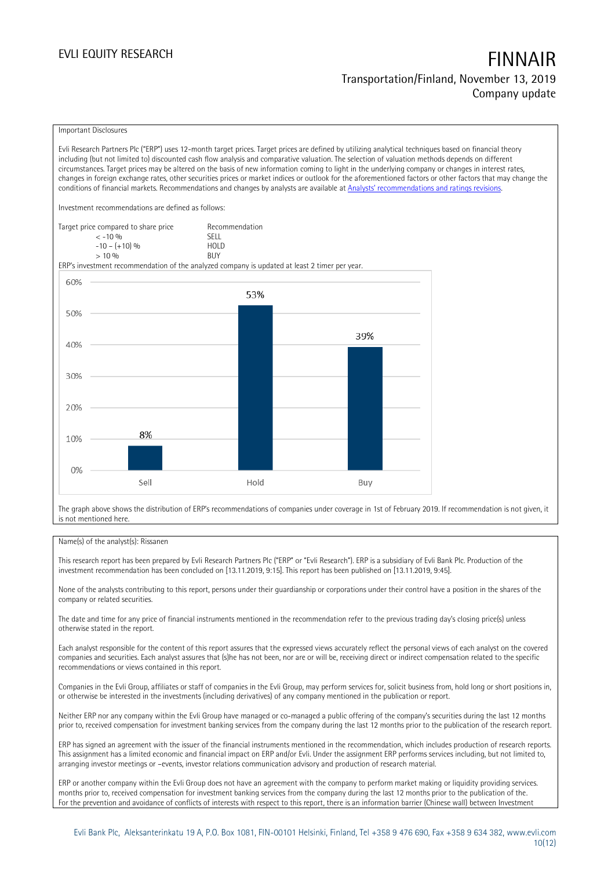### Important Disclosures

Evli Research Partners Plc ("ERP") uses 12-month target prices. Target prices are defined by utilizing analytical techniques based on financial theory including (but not limited to) discounted cash flow analysis and comparative valuation. The selection of valuation methods depends on different circumstances. Target prices may be altered on the basis of new information coming to light in the underlying company or changes in interest rates, changes in foreign exchange rates, other securities prices or market indices or outlook for the aforementioned factors or other factors that may change the conditions of financial markets. Recommendations and changes by analysts are available at [Analysts' recommendations and ratings revisions](https://research.evli.com/JasperAllModels.action?authParam=key;461&authParam=x;G3rNagWrtf7K&authType=3). Investment recommendations are defined as follows: Target price compared to share price Recommendation < -10 % SELL  $-10 - (+10) \%$  HOL<br>  $> 10 \%$  BUY  $> 10\%$ ERP's investment recommendation of the analyzed company is updated at least 2 timer per year. 60% 53% 50% 39% 40% 30% 20% 8% 10%  $0%$ Hold Sell Buy The graph above shows the distribution of ERP's recommendations of companies under coverage in 1st of February 2019. If recommendation is not given, it

### Name(s) of the analyst(s): Rissanen

is not mentioned here.

This research report has been prepared by Evli Research Partners Plc ("ERP" or "Evli Research"). ERP is a subsidiary of Evli Bank Plc. Production of the investment recommendation has been concluded on [13.11.2019, 9:15]. This report has been published on [13.11.2019, 9:45].

None of the analysts contributing to this report, persons under their guardianship or corporations under their control have a position in the shares of the company or related securities.

The date and time for any price of financial instruments mentioned in the recommendation refer to the previous trading day's closing price(s) unless otherwise stated in the report.

Each analyst responsible for the content of this report assures that the expressed views accurately reflect the personal views of each analyst on the covered companies and securities. Each analyst assures that (s)he has not been, nor are or will be, receiving direct or indirect compensation related to the specific recommendations or views contained in this report.

Companies in the Evli Group, affiliates or staff of companies in the Evli Group, may perform services for, solicit business from, hold long or short positions in, or otherwise be interested in the investments (including derivatives) of any company mentioned in the publication or report.

Neither ERP nor any company within the Evli Group have managed or co-managed a public offering of the company's securities during the last 12 months prior to, received compensation for investment banking services from the company during the last 12 months prior to the publication of the research report.

ERP has signed an agreement with the issuer of the financial instruments mentioned in the recommendation, which includes production of research reports. This assignment has a limited economic and financial impact on ERP and/or Evli. Under the assignment ERP performs services including, but not limited to, arranging investor meetings or –events, investor relations communication advisory and production of research material.

ERP or another company within the Evli Group does not have an agreement with the company to perform market making or liquidity providing services. months prior to, received compensation for investment banking services from the company during the last 12 months prior to the publication of the. For the prevention and avoidance of conflicts of interests with respect to this report, there is an information barrier (Chinese wall) between Investment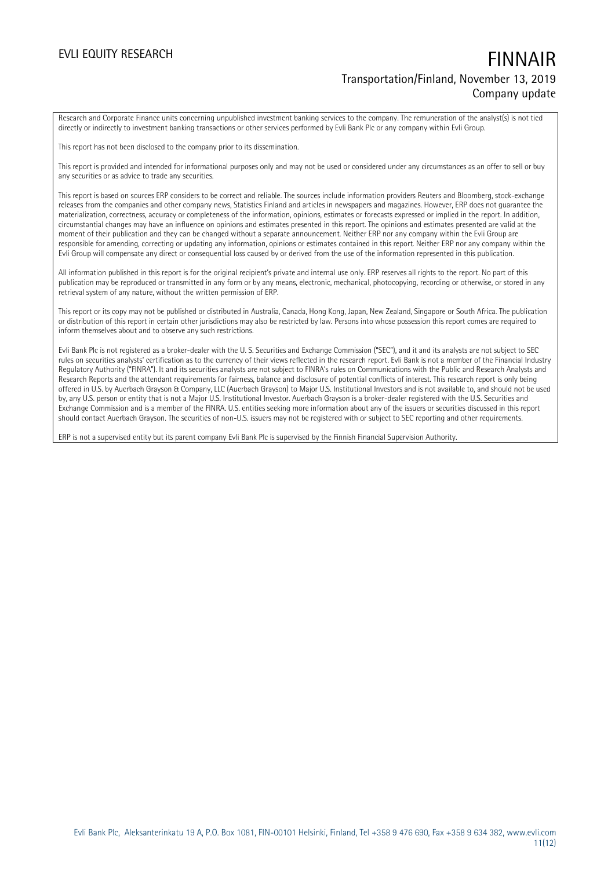Research and Corporate Finance units concerning unpublished investment banking services to the company. The remuneration of the analyst(s) is not tied directly or indirectly to investment banking transactions or other services performed by Evli Bank Plc or any company within Evli Group.

This report has not been disclosed to the company prior to its dissemination.

This report is provided and intended for informational purposes only and may not be used or considered under any circumstances as an offer to sell or buy any securities or as advice to trade any securities.

This report is based on sources ERP considers to be correct and reliable. The sources include information providers Reuters and Bloomberg, stock-exchange releases from the companies and other company news, Statistics Finland and articles in newspapers and magazines. However, ERP does not guarantee the materialization, correctness, accuracy or completeness of the information, opinions, estimates or forecasts expressed or implied in the report. In addition, circumstantial changes may have an influence on opinions and estimates presented in this report. The opinions and estimates presented are valid at the moment of their publication and they can be changed without a separate announcement. Neither ERP nor any company within the Evli Group are responsible for amending, correcting or updating any information, opinions or estimates contained in this report. Neither ERP nor any company within the Evli Group will compensate any direct or consequential loss caused by or derived from the use of the information represented in this publication.

All information published in this report is for the original recipient's private and internal use only. ERP reserves all rights to the report. No part of this publication may be reproduced or transmitted in any form or by any means, electronic, mechanical, photocopying, recording or otherwise, or stored in any retrieval system of any nature, without the written permission of ERP.

This report or its copy may not be published or distributed in Australia, Canada, Hong Kong, Japan, New Zealand, Singapore or South Africa. The publication or distribution of this report in certain other jurisdictions may also be restricted by law. Persons into whose possession this report comes are required to inform themselves about and to observe any such restrictions.

Evli Bank Plc is not registered as a broker-dealer with the U. S. Securities and Exchange Commission ("SEC"), and it and its analysts are not subject to SEC rules on securities analysts' certification as to the currency of their views reflected in the research report. Evli Bank is not a member of the Financial Industry Regulatory Authority ("FINRA"). It and its securities analysts are not subject to FINRA's rules on Communications with the Public and Research Analysts and Research Reports and the attendant requirements for fairness, balance and disclosure of potential conflicts of interest. This research report is only being offered in U.S. by Auerbach Grayson & Company, LLC (Auerbach Grayson) to Major U.S. Institutional Investors and is not available to, and should not be used by, any U.S. person or entity that is not a Major U.S. Institutional Investor. Auerbach Grayson is a broker-dealer registered with the U.S. Securities and Exchange Commission and is a member of the FINRA. U.S. entities seeking more information about any of the issuers or securities discussed in this report should contact Auerbach Grayson. The securities of non-U.S. issuers may not be registered with or subject to SEC reporting and other requirements.

ERP is not a supervised entity but its parent company Evli Bank Plc is supervised by the Finnish Financial Supervision Authority.